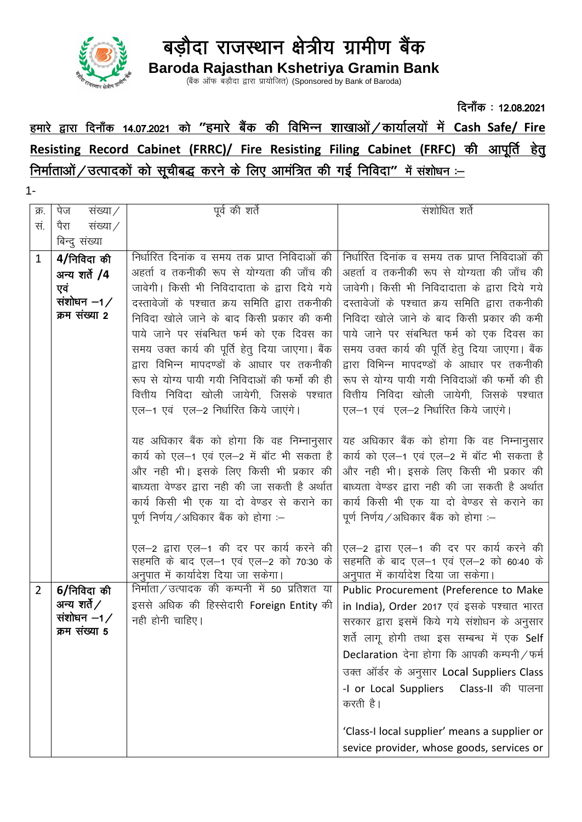

बडौदा राजस्थान क्षेत्रीय ग्रामीण बैंक

Baroda Rajasthan Kshetriya Gramin Bank<br>(बैंक ऑफ बड़ौदा द्वारा प्रायोजित) (Sponsored by Bank of Baroda)

## दिनाँक: 12.08.2021 हमारे द्वारा दिनाँक 14.07.2021 को "हमारे बैंक की विभिन्न शाखाओं / कार्यालयों में Cash Safe/ Fire Resisting Record Cabinet (FRRC)/ Fire Resisting Filing Cabinet (FRFC) की आपूर्ति हेत निर्माताओं / उत्पादकों को सूचीबद्ध करने के लिए आमंत्रित की गई निविदा" में संशोधन :-

 $1 -$ 

| क्र.           | संख्या $\angle$<br>पेज  | पूर्व की शर्ते                                                                    | संशोधित शर्ते                                                                     |
|----------------|-------------------------|-----------------------------------------------------------------------------------|-----------------------------------------------------------------------------------|
| सं.            | संख्या $\angle$<br>पैरा |                                                                                   |                                                                                   |
|                | बिन्दु संख्या           |                                                                                   |                                                                                   |
| $\mathbf{1}$   | 4/निविदा की             | निर्धारित दिनांक व समय तक प्राप्त निविदाओं की                                     | निर्धारित दिनांक व समय तक प्राप्त निविदाओं की                                     |
|                | अन्य शर्ते /4           | अहर्ता व तकनीकी रूप से योग्यता की जाँच की                                         | अहर्ता व तकनीकी रूप से योग्यता की जाँच की                                         |
|                | एवं                     | जावेगी। किसी भी निविदादाता के द्वारा दिये गये                                     | जावेगी। किसी भी निविदादाता के द्वारा दिये गये                                     |
|                | संशोधन $-1/$            | दस्तावेजों के पश्चात क्रय समिति द्वारा तकनीकी                                     | दस्तावेजों के पश्चात क्रय समिति द्वारा तकनीकी                                     |
|                | क्रम संख्या 2           | निविदा खोले जाने के बाद किसी प्रकार की कमी                                        | निविदा खोले जाने के बाद किसी प्रकार की कमी                                        |
|                |                         | पाये जाने पर संबन्धित फर्म को एक दिवस का                                          | पाये जाने पर संबन्धित फर्म को एक दिवस का                                          |
|                |                         | समय उक्त कार्य की पूर्ति हेतु दिया जाएगा। बैंक                                    | समय उक्त कार्य की पूर्ति हेतु दिया जाएगा। बैंक                                    |
|                |                         | द्वारा विभिन्न मापदण्डों के आधार पर तकनीकी                                        | द्वारा विभिन्न मापदण्डों के आधार पर तकनीकी                                        |
|                |                         | रूप से योग्य पायी गयी निविदाओं की फर्मो की ही                                     | रूप से योग्य पायी गयी निविदाओं की फर्मो की ही                                     |
|                |                         | वित्तीय निविदा खोली जायेगी, जिसके पश्चात                                          | वित्तीय निविदा खोली जायेगी, जिसके पश्चात                                          |
|                |                         | एल-1 एवं एल-2 निर्धारित किये जाएंगे।                                              | एल-1 एवं एल-2 निर्धारित किये जाएंगे।                                              |
|                |                         |                                                                                   |                                                                                   |
|                |                         | यह अधिकार बैंक को होगा कि वह निम्नानुसार                                          | यह अधिकार बैंक को होगा कि वह निम्नानुसार                                          |
|                |                         | कार्य को एल-1 एवं एल-2 में बॉट भी सकता है                                         | कार्य को एल-1 एवं एल-2 में बॉट भी सकता है                                         |
|                |                         | और नहीं भी। इसके लिए किसी भी प्रकार की                                            | और नहीं भी। इसके लिए किसी भी प्रकार की                                            |
|                |                         | बाध्यता वेण्डर द्वारा नही की जा सकती है अर्थात                                    | बाध्यता वेण्डर द्वारा नही की जा सकती है अर्थात                                    |
|                |                         | कार्य किसी भी एक या दो वेण्डर से कराने का                                         | कार्य किसी भी एक या दो वेण्डर से कराने का                                         |
|                |                         | पूर्ण निर्णय/अधिकार बैंक को होगा :-                                               | पूर्ण निर्णय / अधिकार बैंक को होगा :-                                             |
|                |                         |                                                                                   |                                                                                   |
|                |                         | एल–2 द्वारा एल–1 की दर पर कार्य करने की<br>सहमति के बाद एल–1 एवं एल–2 को 70:30 के | एल–2 द्वारा एल–1 की दर पर कार्य करने की<br>सहमति के बाद एल–1 एवं एल–2 को 60:40 के |
|                |                         | अनुपात में कार्यादेश दिया जा सकेगा।                                               | अनुपात में कार्यादेश दिया जा सकेगा।                                               |
| $\overline{2}$ | 6/निविदा की             | निर्माता / उत्पादक की कम्पनी में 50 प्रतिशत या                                    | Public Procurement (Preference to Make                                            |
|                | अन्य शर्ते $\angle$     | इससे अधिक की हिस्सेदारी Foreign Entity की                                         | in India), Order 2017 एवं इसके पश्चात भारत                                        |
|                | संशोधन $-1/$            | नही होनी चाहिए।                                                                   | सरकार द्वारा इसमें किये गये संशोधन के अनुसार                                      |
|                | क्रम संख्या 5           |                                                                                   | शर्ते लागू होगी तथा इस सम्बन्ध में एक Self                                        |
|                |                         |                                                                                   | Declaration देना होगा कि आपकी कम्पनी/फर्म                                         |
|                |                         |                                                                                   | उक्त ऑर्डर के अनुसार Local Suppliers Class                                        |
|                |                         |                                                                                   | Class-II की पालना<br>-I or Local Suppliers                                        |
|                |                         |                                                                                   | करती है।                                                                          |
|                |                         |                                                                                   |                                                                                   |
|                |                         |                                                                                   | 'Class-I local supplier' means a supplier or                                      |
|                |                         |                                                                                   | sevice provider, whose goods, services or                                         |